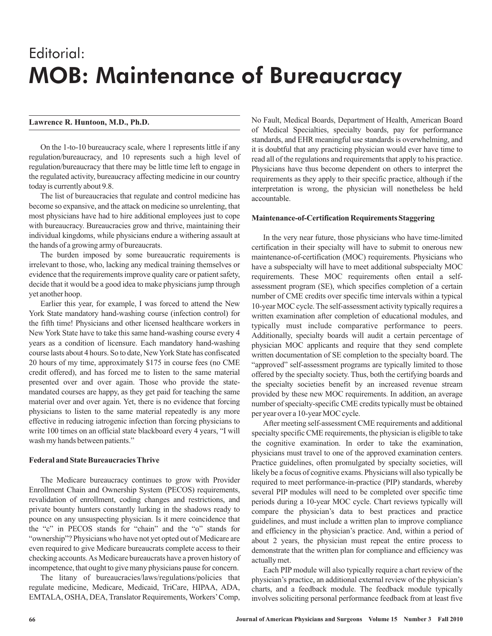# Editorial: MOB: Maintenance of Bureaucracy

# **Lawrence R. Huntoon, M.D., Ph.D.**

On the 1-to-10 bureaucracy scale, where 1 represents little if any regulation/bureaucracy, and 10 represents such a high level of regulation/bureaucracy that there may be little time left to engage in the regulated activity, bureaucracy affecting medicine in our country today is currently about 9.8.

The list of bureaucracies that regulate and control medicine has become so expansive, and the attack on medicine so unrelenting, that most physicians have had to hire additional employees just to cope with bureaucracy. Bureaucracies grow and thrive, maintaining their individual kingdoms, while physicians endure a withering assault at the hands of a growing army of bureaucrats.

The burden imposed by some bureaucratic requirements is irrelevant to those, who, lacking any medical training themselves or evidence that the requirements improve quality care or patient safety, decide that it would be a good idea to make physicians jump through yet another hoop.

Earlier this year, for example, I was forced to attend the New York State mandatory hand-washing course (infection control) for the fifth time! Physicians and other licensed healthcare workers in New York State have to take this same hand-washing course every 4 years as a condition of licensure. Each mandatory hand-washing course lasts about 4 hours. So to date, NewYork State has confiscated 20 hours of my time, approximately \$175 in course fees (no CME credit offered), and has forced me to listen to the same material presented over and over again. Those who provide the statemandated courses are happy, as they get paid for teaching the same material over and over again. Yet, there is no evidence that forcing physicians to listen to the same material repeatedly is any more effective in reducing iatrogenic infection than forcing physicians to write 100 times on an official state blackboard every 4 years, "I will wash my hands between patients."

# **Federal and State Bureaucracies Thrive**

The Medicare bureaucracy continues to grow with Provider Enrollment Chain and Ownership System (PECOS) requirements, revalidation of enrollment, coding changes and restrictions, and private bounty hunters constantly lurking in the shadows ready to pounce on any unsuspecting physician. Is it mere coincidence that the "c" in PECOS stands for "chain" and the "o" stands for "ownership"? Physicians who have not yet opted out of Medicare are even required to give Medicare bureaucrats complete access to their checking accounts.As Medicare bureaucrats have a proven history of incompetence, that ought to give many physicians pause for concern.

The litany of bureaucracies/laws/regulations/policies that regulate medicine, Medicare, Medicaid, TriCare, HIPAA, ADA, EMTALA, OSHA, DEA, Translator Requirements, Workers'Comp,

No Fault, Medical Boards, Department of Health, American Board of Medical Specialties, specialty boards, pay for performance standards, and EHR meaningful use standards is overwhelming, and it is doubtful that any practicing physician would ever have time to read all of the regulations and requirements that apply to his practice. Physicians have thus become dependent on others to interpret the requirements as they apply to their specific practice, although if the interpretation is wrong, the physician will nonetheless be held accountable.

#### **Maintenance-of-Certification Requirements Staggering**

In the very near future, those physicians who have time-limited certification in their specialty will have to submit to onerous new maintenance-of-certification (MOC) requirements. Physicians who have a subspecialty will have to meet additional subspecialty MOC requirements. These MOC requirements often entail a selfassessment program (SE), which specifies completion of a certain number of CME credits over specific time intervals within a typical 10-year MOC cycle. The self-assessment activity typically requires a written examination after completion of educational modules, and typically must include comparative performance to peers. Additionally, specialty boards will audit a certain percentage of physician MOC applicants and require that they send complete written documentation of SE completion to the specialty board. The "approved" self-assessment programs are typically limited to those offered by the specialty society. Thus, both the certifying boards and the specialty societies benefit by an increased revenue stream provided by these new MOC requirements. In addition, an average number of specialty-specific CME credits typically must be obtained per year over a 10-year MOC cycle.

After meeting self-assessment CME requirements and additional specialty specific CME requirements, the physician is eligible to take the cognitive examination. In order to take the examination, physicians must travel to one of the approved examination centers. Practice guidelines, often promulgated by specialty societies, will likely be a focus of cognitive exams. Physicians will also typically be required to meet performance-in-practice (PIP) standards, whereby several PIP modules will need to be completed over specific time periods during a 10-year MOC cycle. Chart reviews typically will compare the physician's data to best practices and practice guidelines, and must include a written plan to improve compliance and efficiency in the physician's practice. And, within a period of about 2 years, the physician must repeat the entire process to demonstrate that the written plan for compliance and efficiency was actually met.

Each PIP module will also typically require a chart review of the physician's practice, an additional external review of the physician's charts, and a feedback module. The feedback module typically involves soliciting personal performance feedback from at least five